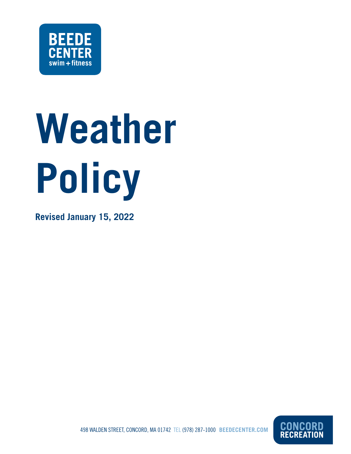

# **Weather Policy**

**Revised January 15, 2022**



498 WALDEN STREET, CONCORD, MA 01742 TEL (978) 287-1000 **BEEDECENTER.COM**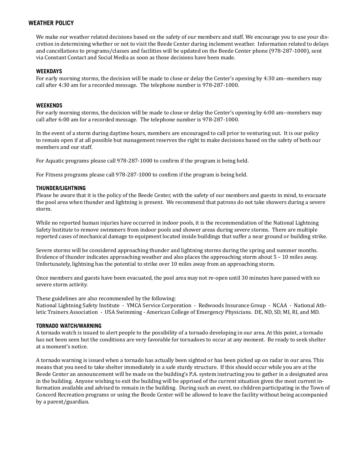# **WEATHER POLICY**

We make our weather related decisions based on the safety of our members and staff. We encourage you to use your discretion in determining whether or not to visit the Beede Center during inclement weather. Information related to delays and cancellations to programs/classes and facilities will be updated on the Beede Center phone (978-287-1000), sent via Constant Contact and Social Media as soon as those decisions have been made.

# **WEEKDAYS**

For early morning storms, the decision will be made to close or delay the Center's opening by 4:30 am--members may call after 4:30 am for a recorded message. The telephone number is 978-287-1000.

# **WEEKENDS**

For early morning storms, the decision will be made to close or delay the Center's opening by 6:00 am--members may call after 6:00 am for a recorded message. The telephone number is 978-287-1000.

In the event of a storm during daytime hours, members are encouraged to call prior to venturing out. It is our policy to remain open if at all possible but management reserves the right to make decisions based on the safety of both our members and our staff.

For Aquatic programs please call 978-287-1000 to confirm if the program is being held.

For Fitness programs please call 978-287-1000 to confirm if the program is being held.

#### **THUNDER/LIGHTNING**

Please be aware that it is the policy of the Beede Center, with the safety of our members and guests in mind, to evacuate the pool area when thunder and lightning is present. We recommend that patrons do not take showers during a severe storm.

While no reported human injuries have occurred in indoor pools, it is the recommendation of the National Lightning Safety Institute to remove swimmers from indoor pools and shower areas during severe storms. There are multiple reported cases of mechanical damage to equipment located inside buildings that suffer a near ground or building strike.

Severe storms will be considered approaching thunder and lightning storms during the spring and summer months. Evidence of thunder indicates approaching weather and also places the approaching storm about 5 – 10 miles away. Unfortunately, lightning has the potential to strike over 10 miles away from an approaching storm.

Once members and guests have been evacuated, the pool area may not re-open until 30 minutes have passed with no severe storm activity.

These guidelines are also recommended by the following:

National Lightning Safety Institute - YMCA Service Corporation - Redwoods Insurance Group - NCAA - National Athletic Trainers Association - USA Swimming - American College of Emergency Physicians. DE, ND, SD, MI, RI, and MD.

## **TORNADO WATCH/WARNING**

A tornado watch is issued to alert people to the possibility of a tornado developing in our area. At this point, a tornado has not been seen but the conditions are very favorable for tornadoes to occur at any moment. Be ready to seek shelter at a moment's notice.

A tornado warning is issued when a tornado has actually been sighted or has been picked up on radar in our area. This means that you need to take shelter immediately in a safe sturdy structure. If this should occur while you are at the Beede Center an announcement will be made on the building's P.A. system instructing you to gather in a designated area in the building. Anyone wishing to exit the building will be apprised of the current situation given the most current information available and advised to remain in the building. During such an event, no children participating in the Town of Concord Recreation programs or using the Beede Center will be allowed to leave the facility without being accompanied by a parent/guardian.